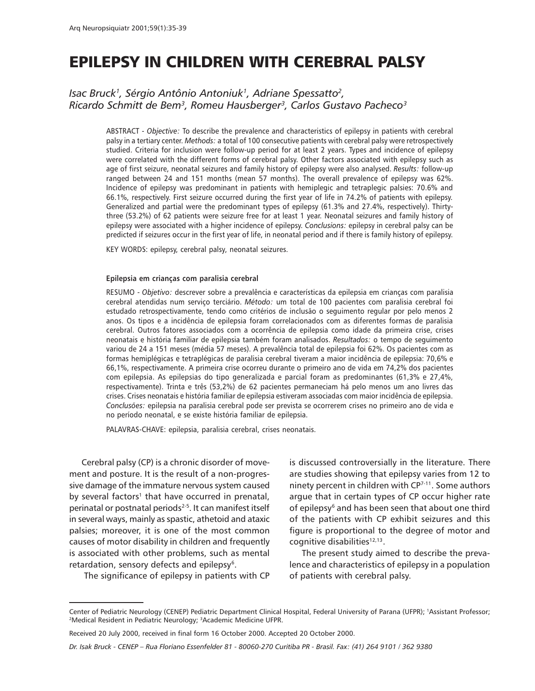# EPILEPSY IN CHILDREN WITH CEREBRAL PALSY

# Isac Bruck<sup>1</sup>, Sérgio Antônio Antoniuk<sup>1</sup>, Adriane Spessatto<sup>2</sup>, Ricardo Schmitt de Bem<sup>3</sup>, Romeu Hausberger<sup>3</sup>, Carlos Gustavo Pacheco<sup>3</sup>

ABSTRACT - Objective: To describe the prevalence and characteristics of epilepsy in patients with cerebral palsy in a tertiary center. Methods: a total of 100 consecutive patients with cerebral palsy were retrospectively studied. Criteria for inclusion were follow-up period for at least 2 years. Types and incidence of epilepsy were correlated with the different forms of cerebral palsy. Other factors associated with epilepsy such as age of first seizure, neonatal seizures and family history of epilepsy were also analysed. Results: follow-up ranged between 24 and 151 months (mean 57 months). The overall prevalence of epilepsy was 62%. Incidence of epilepsy was predominant in patients with hemiplegic and tetraplegic palsies: 70.6% and 66.1%, respectively. First seizure occurred during the first year of life in 74.2% of patients with epilepsy. Generalized and partial were the predominant types of epilepsy (61.3% and 27.4%, respectively). Thirtythree (53.2%) of 62 patients were seizure free for at least 1 year. Neonatal seizures and family history of epilepsy were associated with a higher incidence of epilepsy. Conclusions: epilepsy in cerebral palsy can be predicted if seizures occur in the first year of life, in neonatal period and if there is family history of epilepsy.

KEY WORDS: epilepsy, cerebral palsy, neonatal seizures.

#### Epilepsia em crianças com paralisia cerebral

RESUMO - Objetivo: descrever sobre a prevalência e características da epilepsia em crianças com paralisia cerebral atendidas num serviço terciário. Método: um total de 100 pacientes com paralisia cerebral foi estudado retrospectivamente, tendo como critérios de inclusão o seguimento regular por pelo menos 2 anos. Os tipos e a incidência de epilepsia foram correlacionados com as diferentes formas de paralisia cerebral. Outros fatores associados com a ocorrência de epilepsia como idade da primeira crise, crises neonatais e história familiar de epilepsia também foram analisados. Resultados: o tempo de seguimento variou de 24 a 151 meses (média 57 meses). A prevalência total de epilepsia foi 62%. Os pacientes com as formas hemiplégicas e tetraplégicas de paralisia cerebral tiveram a maior incidência de epilepsia: 70,6% e 66,1%, respectivamente. A primeira crise ocorreu durante o primeiro ano de vida em 74,2% dos pacientes com epilepsia. As epilepsias do tipo generalizada e parcial foram as predominantes (61,3% e 27,4%, respectivamente). Trinta e três (53,2%) de 62 pacientes permaneciam há pelo menos um ano livres das crises. Crises neonatais e história familiar de epilepsia estiveram associadas com maior incidência de epilepsia. Conclusões: epilepsia na paralisia cerebral pode ser prevista se ocorrerem crises no primeiro ano de vida e no período neonatal, e se existe história familiar de epilepsia.

PALAVRAS-CHAVE: epilepsia, paralisia cerebral, crises neonatais.

Cerebral palsy (CP) is a chronic disorder of movement and posture. It is the result of a non-progressive damage of the immature nervous system caused by several factors<sup>1</sup> that have occurred in prenatal, perinatal or postnatal periods<sup>2-5</sup>. It can manifest itself in several ways, mainly as spastic, athetoid and ataxic palsies; moreover, it is one of the most common causes of motor disability in children and frequently is associated with other problems, such as mental retardation, sensory defects and epilepsy<sup>6</sup>.

The significance of epilepsy in patients with CP

is discussed controversially in the literature. There are studies showing that epilepsy varies from 12 to ninety percent in children with CP7-11. Some authors argue that in certain types of CP occur higher rate of epilepsy<sup>6</sup> and has been seen that about one third of the patients with CP exhibit seizures and this figure is proportional to the degree of motor and cognitive disabilities<sup>12,13</sup>.

The present study aimed to describe the prevalence and characteristics of epilepsy in a population of patients with cerebral palsy.

Center of Pediatric Neurology (CENEP) Pediatric Department Clinical Hospital, Federal University of Parana (UFPR); 1 Assistant Professor; 2 Medical Resident in Pediatric Neurology; 3 Academic Medicine UFPR.

Received 20 July 2000, received in final form 16 October 2000. Accepted 20 October 2000.

Dr. Isak Bruck - CENEP - Rua Floriano Essenfelder 81 - 80060-270 Curitiba PR - Brasil. Fax: (41) 264 9101 / 362 9380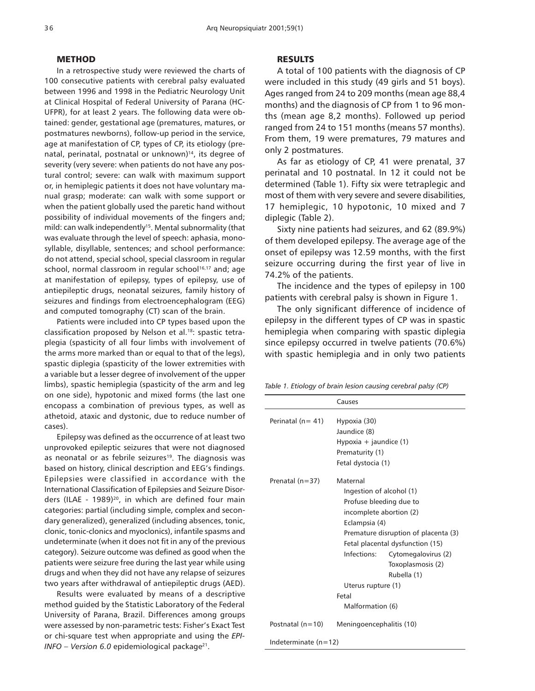#### METHOD

In a retrospective study were reviewed the charts of 100 consecutive patients with cerebral palsy evaluated between 1996 and 1998 in the Pediatric Neurology Unit at Clinical Hospital of Federal University of Parana (HC-UFPR), for at least 2 years. The following data were obtained: gender, gestational age (prematures, matures, or postmatures newborns), follow-up period in the service, age at manifestation of CP, types of CP, its etiology (prenatal, perinatal, postnatal or unknown)<sup>14</sup>, its degree of severity (very severe: when patients do not have any postural control; severe: can walk with maximum support or, in hemiplegic patients it does not have voluntary manual grasp; moderate: can walk with some support or when the patient globally used the paretic hand without possibility of individual movements of the fingers and; mild: can walk independently<sup>15</sup>. Mental subnormality (that was evaluate through the level of speech: aphasia, monosyllable, disyllable, sentences; and school performance: do not attend, special school, special classroom in regular school, normal classroom in regular school<sup>16,17</sup> and; age at manifestation of epilepsy, types of epilepsy, use of antiepileptic drugs, neonatal seizures, family history of seizures and findings from electroencephalogram (EEG) and computed tomography (CT) scan of the brain.

Patients were included into CP types based upon the classification proposed by Nelson et al.18: spastic tetraplegia (spasticity of all four limbs with involvement of the arms more marked than or equal to that of the legs), spastic diplegia (spasticity of the lower extremities with a variable but a lesser degree of involvement of the upper limbs), spastic hemiplegia (spasticity of the arm and leg on one side), hypotonic and mixed forms (the last one encopass a combination of previous types, as well as athetoid, ataxic and dystonic, due to reduce number of cases).

Epilepsy was defined as the occurrence of at least two unprovoked epileptic seizures that were not diagnosed as neonatal or as febrile seizures<sup>19</sup>. The diagnosis was based on history, clinical description and EEG's findings. Epilepsies were classified in accordance with the International Classification of Epilepsies and Seizure Disorders (ILAE - 1989)<sup>20</sup>, in which are defined four main categories: partial (including simple, complex and secondary generalized), generalized (including absences, tonic, clonic, tonic-clonics and myoclonics), infantile spasms and undeterminate (when it does not fit in any of the previous category). Seizure outcome was defined as good when the patients were seizure free during the last year while using drugs and when they did not have any relapse of seizures two years after withdrawal of antiepileptic drugs (AED).

Results were evaluated by means of a descriptive method guided by the Statistic Laboratory of the Federal University of Parana, Brazil. Differences among groups were assessed by non-parametric tests: Fisher's Exact Test or chi-square test when appropriate and using the EPI- $I$ NFO – Version 6.0 epidemiological package<sup>21</sup>.

### **RESULTS**

A total of 100 patients with the diagnosis of CP were included in this study (49 girls and 51 boys). Ages ranged from 24 to 209 months (mean age 88,4 months) and the diagnosis of CP from 1 to 96 months (mean age 8,2 months). Followed up period ranged from 24 to 151 months (means 57 months). From them, 19 were prematures, 79 matures and only 2 postmatures.

As far as etiology of CP, 41 were prenatal, 37 perinatal and 10 postnatal. In 12 it could not be determined (Table 1). Fifty six were tetraplegic and most of them with very severe and severe disabilities, 17 hemiplegic, 10 hypotonic, 10 mixed and 7 diplegic (Table 2).

Sixty nine patients had seizures, and 62 (89.9%) of them developed epilepsy. The average age of the onset of epilepsy was 12.59 months, with the first seizure occurring during the first year of live in 74.2% of the patients.

The incidence and the types of epilepsy in 100 patients with cerebral palsy is shown in Figure 1.

The only significant difference of incidence of epilepsy in the different types of CP was in spastic hemiplegia when comparing with spastic diplegia since epilepsy occurred in twelve patients (70.6%) with spastic hemiplegia and in only two patients

| Table 1. Etiology of brain lesion causing cerebral palsy (CP) |  |  |  |
|---------------------------------------------------------------|--|--|--|
|                                                               |  |  |  |

|                        | Causes                                                                                                                                                                                                                                                                                                               |  |  |
|------------------------|----------------------------------------------------------------------------------------------------------------------------------------------------------------------------------------------------------------------------------------------------------------------------------------------------------------------|--|--|
| Perinatal ( $n = 41$ ) | Hypoxia (30)<br>Jaundice (8)<br>Hypoxia + jaundice (1)<br>Prematurity (1)<br>Fetal dystocia (1)                                                                                                                                                                                                                      |  |  |
| Prenatal (n=37)        | Maternal<br>Ingestion of alcohol (1)<br>Profuse bleeding due to<br>incomplete abortion (2)<br>Eclampsia (4)<br>Premature disruption of placenta (3)<br>Fetal placental dysfunction (15)<br>Infections:<br>Cytomegalovirus (2)<br>Toxoplasmosis (2)<br>Rubella (1)<br>Uterus rupture (1)<br>Fetal<br>Malformation (6) |  |  |
| Postnatal $(n=10)$     | Meningoencephalitis (10)                                                                                                                                                                                                                                                                                             |  |  |
| Indeterminate (n=12)   |                                                                                                                                                                                                                                                                                                                      |  |  |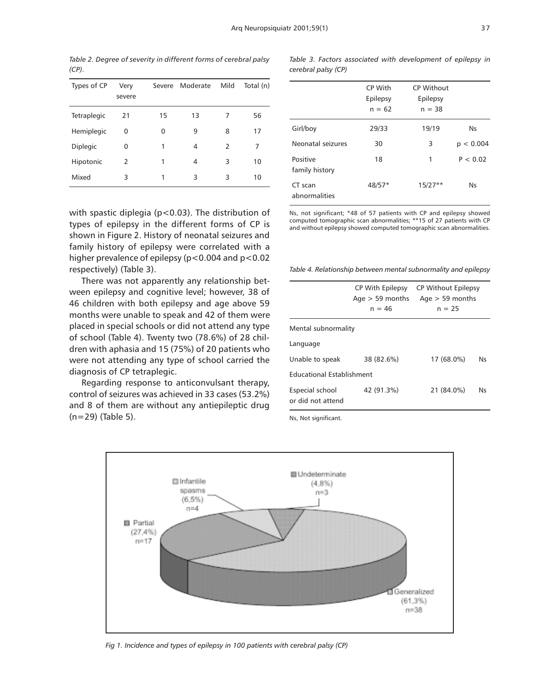Table 2. Degree of severity in different forms of cerebral palsy  $(CP)$ .

| Types of CP     | Very<br>severe | Severe | Moderate | Mild | Total (n) |
|-----------------|----------------|--------|----------|------|-----------|
| Tetraplegic     | 21             | 15     | 13       | 7    | 56        |
| Hemiplegic      | 0              | 0      | 9        | 8    | 17        |
| <b>Diplegic</b> | 0              | 1      | 4        | 2    | 7         |
| Hipotonic       | 2              | 1      | 4        | 3    | 10        |
| Mixed           | 3              | 1      | 3        | 3    | 10        |

with spastic diplegia (p<0.03). The distribution of types of epilepsy in the different forms of CP is shown in Figure 2. History of neonatal seizures and family history of epilepsy were correlated with a higher prevalence of epilepsy (p<0.004 and p<0.02 respectively) (Table 3).

There was not apparently any relationship between epilepsy and cognitive level; however, 38 of 46 children with both epilepsy and age above 59 months were unable to speak and 42 of them were placed in special schools or did not attend any type of school (Table 4). Twenty two (78.6%) of 28 children with aphasia and 15 (75%) of 20 patients who were not attending any type of school carried the diagnosis of CP tetraplegic.

Regarding response to anticonvulsant therapy, control of seizures was achieved in 33 cases (53.2%) and 8 of them are without any antiepileptic drug (n=29) (Table 5).

Table 3. Factors associated with development of epilepsy in cerebral palsy (CP)

|                            | CP With<br>Epilepsy<br>$n = 62$ | <b>CP Without</b><br>Epilepsy<br>$n = 38$ |           |
|----------------------------|---------------------------------|-------------------------------------------|-----------|
| Girl/boy                   | 29/33                           | 19/19                                     | Ns        |
| Neonatal seizures          | 30                              | 3                                         | p < 0.004 |
| Positive<br>family history | 18                              | 1                                         | P < 0.02  |
| CT scan<br>abnormalities   | $48/57*$                        | $15/27**$                                 | N٢        |

Ns, not significant; \*48 of 57 patients with CP and epilepsy showed computed tomographic scan abnormalities; \*\*15 of 27 patients with CP and without epilepsy showed computed tomographic scan abnormalities.

Table 4. Relationship between mental subnormality and epilepsy

|                                      | CP With Epilepsy<br>$Aqe > 59$ months<br>$n = 46$ | <b>CP Without Epilepsy</b><br>Age $>$ 59 months<br>$n = 25$ |    |  |  |  |  |
|--------------------------------------|---------------------------------------------------|-------------------------------------------------------------|----|--|--|--|--|
| Mental subnormality                  |                                                   |                                                             |    |  |  |  |  |
| Language                             |                                                   |                                                             |    |  |  |  |  |
| Unable to speak                      | 38 (82.6%)                                        | 17 (68.0%)                                                  | N٢ |  |  |  |  |
| <b>Educational Establishment</b>     |                                                   |                                                             |    |  |  |  |  |
| Especial school<br>or did not attend | 42 (91.3%)                                        | 21 (84.0%)                                                  | N٢ |  |  |  |  |

Ns, Not significant.



Fig 1. Incidence and types of epilepsy in 100 patients with cerebral palsy (CP)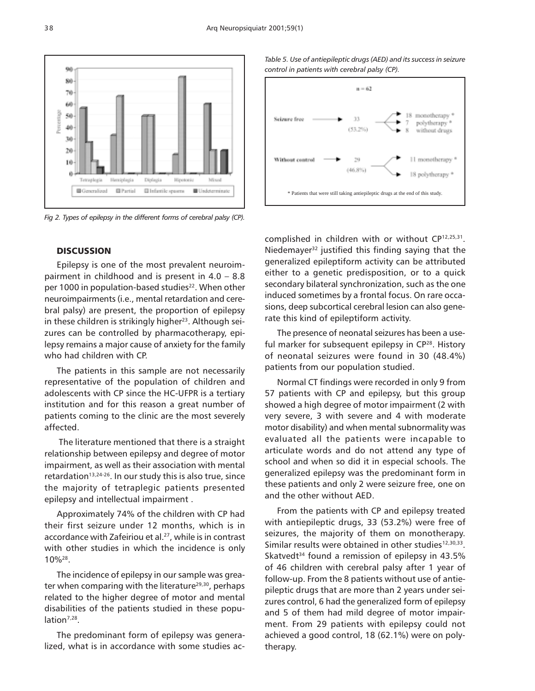

Fig 2. Types of epilepsy in the different forms of cerebral palsy (CP).

# **DISCUSSION**

Epilepsy is one of the most prevalent neuroimpairment in childhood and is present in  $4.0 - 8.8$ per 1000 in population-based studies<sup>22</sup>. When other neuroimpairments (i.e., mental retardation and cerebral palsy) are present, the proportion of epilepsy in these children is strikingly higher<sup>23</sup>. Although seizures can be controlled by pharmacotherapy, epilepsy remains a major cause of anxiety for the family who had children with CP.

The patients in this sample are not necessarily representative of the population of children and adolescents with CP since the HC-UFPR is a tertiary institution and for this reason a great number of patients coming to the clinic are the most severely affected.

 The literature mentioned that there is a straight relationship between epilepsy and degree of motor impairment, as well as their association with mental retardation<sup>13,24-26</sup>. In our study this is also true, since the majority of tetraplegic patients presented epilepsy and intellectual impairment .

Approximately 74% of the children with CP had their first seizure under 12 months, which is in accordance with Zafeiriou et al.<sup>27</sup>, while is in contrast with other studies in which the incidence is only 10%28.

The incidence of epilepsy in our sample was greater when comparing with the literature<sup>29,30</sup>, perhaps related to the higher degree of motor and mental disabilities of the patients studied in these population<sup>7,28</sup>.

The predominant form of epilepsy was generalized, what is in accordance with some studies ac-

Table 5. Use of antiepileptic drugs (AED) and its success in seizure control in patients with cerebral palsy (CP).



complished in children with or without CP12,25,31. Niedemayer $32$  justified this finding saying that the generalized epileptiform activity can be attributed either to a genetic predisposition, or to a quick secondary bilateral synchronization, such as the one induced sometimes by a frontal focus. On rare occasions, deep subcortical cerebral lesion can also generate this kind of epileptiform activity.

The presence of neonatal seizures has been a useful marker for subsequent epilepsy in CP<sup>28</sup>. History of neonatal seizures were found in 30 (48.4%) patients from our population studied.

Normal CT findings were recorded in only 9 from 57 patients with CP and epilepsy, but this group showed a high degree of motor impairment (2 with very severe, 3 with severe and 4 with moderate motor disability) and when mental subnormality was evaluated all the patients were incapable to articulate words and do not attend any type of school and when so did it in especial schools. The generalized epilepsy was the predominant form in these patients and only 2 were seizure free, one on and the other without AED.

From the patients with CP and epilepsy treated with antiepileptic drugs, 33 (53.2%) were free of seizures, the majority of them on monotherapy. Similar results were obtained in other studies<sup>12,30,33</sup>. Skatvedt<sup>34</sup> found a remission of epilepsy in 43.5% of 46 children with cerebral palsy after 1 year of follow-up. From the 8 patients without use of antiepileptic drugs that are more than 2 years under seizures control, 6 had the generalized form of epilepsy and 5 of them had mild degree of motor impairment. From 29 patients with epilepsy could not achieved a good control, 18 (62.1%) were on polytherapy.